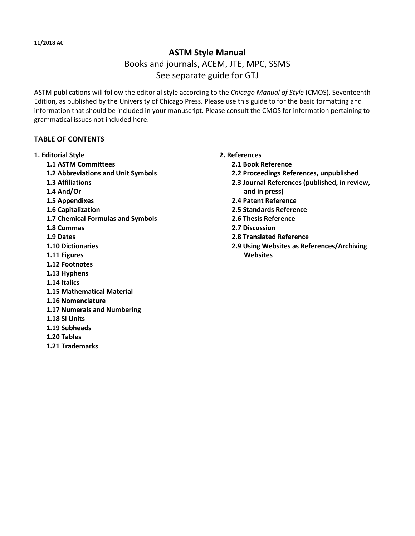## **ASTM Style Manual**

# Books and journals, ACEM, JTE, MPC, SSMS See separate guide for GTJ

ASTM publications will follow the editorial style according to the *Chicago Manual of Style* (CMOS), Seventeenth Edition, as published by the University of Chicago Press. Please use this guide to for the basic formatting and information that should be included in your manuscript. Please consult the CMOS for information pertaining to grammatical issues not included here.

### **TABLE OF CONTENTS**

#### **1. Editorial Style**

- **1.1 ASTM Committees**
- **1.2 Abbreviations and Unit Symbols**
- **1.3 Affiliations**
- **1.4 And/Or**
- **1.5 Appendixes**
- **1.6 Capitalization**
- **1.7 Chemical Formulas and Symbols**
- **1.8 Commas**
- **1.9 Dates**
- **1.10 Dictionaries**
- **1.11 Figures**
- **1.12 Footnotes**
- **1.13 Hyphens**
- **1.14 Italics**
- **1.15 Mathematical Material**
- **1.16 Nomenclature**
- **1.17 Numerals and Numbering**
- **1.18 SI Units**
- **1.19 Subheads**
- **1.20 Tables**
- **1.21 Trademarks**

#### **2. References**

- **2.1 Book Reference**
- **2.2 Proceedings References, unpublished**
- **2.3 Journal References (published, in review, and in press)**
- **2.4 Patent Reference**
- **2.5 Standards Reference**
- **2.6 Thesis Reference**
- **2.7 Discussion**
- **2.8 Translated Reference**
- **2.9 Using Websites as References/Archiving Websites**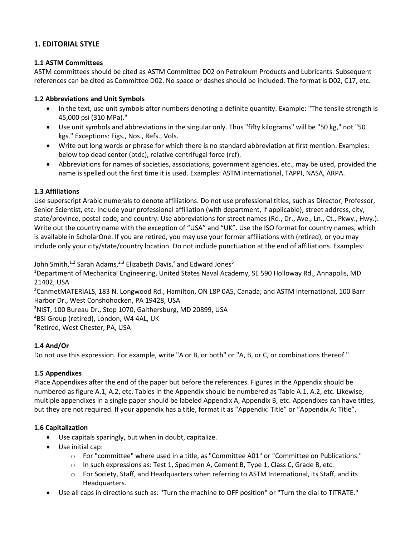### **1. EDITORIAL STYLE**

#### **1.1 ASTM Committees**

ASTM committees should be cited as ASTM Committee D02 on Petroleum Products and Lubricants. Subsequent references can be cited as Committee D02. No space or dashes should be included. The format is D02, C17, etc.

#### **1.2 Abbreviations and Unit Symbols**

- In the text, use unit symbols after numbers denoting a definite quantity. Example: "The tensile strength is 45,000 psi (310 MPa)."
- Use unit symbols and abbreviations in the singular only. Thus "fifty kilograms" will be "50 kg," not "50 kgs." Exceptions: Figs., Nos., Refs., Vols.
- Write out long words or phrase for which there is no standard abbreviation at first mention. Examples: below top dead center (btdc), relative centrifugal force (rcf).
- Abbreviations for names of societies, associations, government agencies, etc., may be used, provided the name is spelled out the first time it is used. Examples: ASTM International, TAPPI, NASA, ARPA.

#### **1.3 Affiliations**

Use superscript Arabic numerals to denote affiliations. Do not use professional titles, such as Director, Professor, Senior Scientist, etc. Include your professional affiliation (with department, if applicable), street address, city, state/province, postal code, and country. Use abbreviations for street names (Rd., Dr., Ave., Ln., Ct., Pkwy., Hwy.). Write out the country name with the exception of "USA" and "UK". Use the ISO format for country names, which is available in ScholarOne. If you are retired, you may use your former affiliations with (retired), or you may include only your city/state/country location. Do not include punctuation at the end of affiliations. Examples:

John Smith,<sup>1,2</sup> Sarah Adams,<sup>2,3</sup> Elizabeth Davis,<sup>4</sup> and Edward Jones<sup>5</sup>

<sup>1</sup>Department of Mechanical Engineering, United States Naval Academy, SE 590 Holloway Rd., Annapolis, MD 21402, USA

<sup>2</sup>CanmetMATERIALS, 183 N. Longwood Rd., Hamilton, ON L8P 0A5, Canada; and ASTM International, 100 Barr Harbor Dr., West Conshohocken, PA 19428, USA

<sup>3</sup>NIST, 100 Bureau Dr., Stop 1070, Gaithersburg, MD 20899, USA <sup>4</sup>BSI Group (retired), London, W4 4AL, UK

<sup>5</sup>Retired, West Chester, PA, USA

### **1.4 And/Or**

Do not use this expression. For example, write "A or B, or both" or "A, B, or C, or combinations thereof."

### **1.5 Appendixes**

Place Appendixes after the end of the paper but before the references. Figures in the Appendix should be numbered as figure A.1, A.2, etc. Tables in the Appendix should be numbered as Table A.1, A.2, etc. Likewise, multiple appendixes in a single paper should be labeled Appendix A, Appendix B, etc. Appendixes can have titles, but they are not required. If your appendix has a title, format it as "Appendix: Title" or "Appendix A: Title".

### **1.6 Capitalization**

- Use capitals sparingly, but when in doubt, capitalize.
- Use initial cap:
	- o For "committee" where used in a title, as "Committee A01" or "Committee on Publications."
	- o In such expressions as: Test 1, Specimen A, Cement B, Type 1, Class C, Grade B, etc.
	- o For Society, Staff, and Headquarters when referring to ASTM International, its Staff, and its Headquarters.
- Use all caps in directions such as: "Turn the machine to OFF position" or "Turn the dial to TITRATE."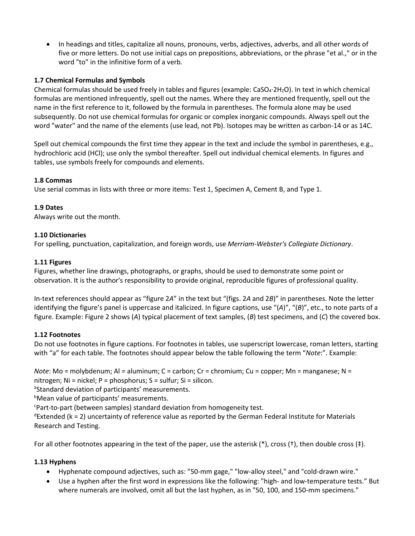• In headings and titles, capitalize all nouns, pronouns, verbs, adjectives, adverbs, and all other words of five or more letters. Do not use initial caps on prepositions, abbreviations, or the phrase "et al.," or in the word "to" in the infinitive form of a verb.

#### **1.7 Chemical Formulas and Symbols**

Chemical formulas should be used freely in tables and figures (example:  $CaSO_4.2H_2O$ ). In text in which chemical formulas are mentioned infrequently, spell out the names. Where they are mentioned frequently, spell out the name in the first reference to it, followed by the formula in parentheses. The formula alone may be used subsequently. Do not use chemical formulas for organic or complex inorganic compounds. Always spell out the word "water" and the name of the elements (use lead, not Pb). Isotopes may be written as carbon-14 or as 14C.

Spell out chemical compounds the first time they appear in the text and include the symbol in parentheses, e.g., hydrochloric acid (HCl); use only the symbol thereafter. Spell out individual chemical elements. In figures and tables, use symbols freely for compounds and elements.

#### **1.8 Commas**

Use serial commas in lists with three or more items: Test 1, Specimen A, Cement B, and Type 1.

#### **1.9 Dates**

Always write out the month.

#### **1.10 Dictionaries**

For spelling, punctuation, capitalization, and foreign words, use *Merriam-Webster's Collegiate Dictionary*.

#### **1.11 Figures**

Figures, whether line drawings, photographs, or graphs, should be used to demonstrate some point or observation. It is the author's responsibility to provide original, reproducible figures of professional quality.

In-text references should appear as "figure 2*A*" in the text but "(figs. 2*A* and 2*B*)" in parentheses. Note the letter identifying the figure's panel is uppercase and italicized. In figure captions, use "(*A*)", "(*B*)", etc., to note parts of a figure. Example: Figure 2 shows (*A*) typical placement of text samples, (*B*) test specimens, and (*C*) the covered box.

### **1.12 Footnotes**

Do not use footnotes in figure captions. For footnotes in tables, use superscript lowercase, roman letters, starting with "a" for each table. The footnotes should appear below the table following the term "*Note*:". Example:

*Note*: Mo = molybdenum; Al = aluminum; C = carbon; Cr = chromium; Cu = copper; Mn = manganese; N = nitrogen; Ni = nickel; P = phosphorus; S = sulfur; Si = silicon.

<sup>a</sup>Standard deviation of participants' measurements.

**b**Mean value of participants' measurements.

<sup>c</sup>Part-to-part (between samples) standard deviation from homogeneity test.

 $d$ Extended (k = 2) uncertainty of reference value as reported by the German Federal Institute for Materials Research and Testing.

For all other footnotes appearing in the text of the paper, use the asterisk (\*), cross (†), then double cross (‡).

#### **1.13 Hyphens**

- Hyphenate compound adjectives, such as: "50-mm gage," "low-alloy steel," and "cold-drawn wire."
- Use a hyphen after the first word in expressions like the following: "high- and low-temperature tests." But where numerals are involved, omit all but the last hyphen, as in "50, 100, and 150-mm specimens."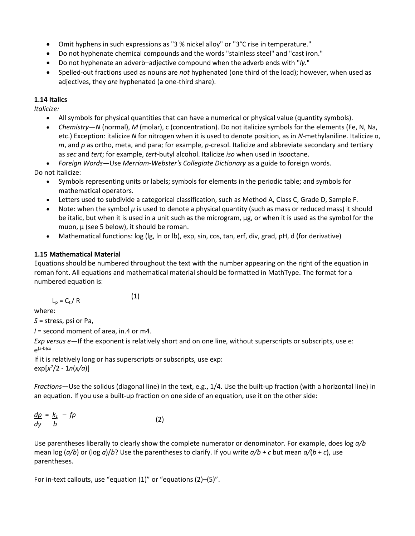- Omit hyphens in such expressions as "3 % nickel alloy" or "3°C rise in temperature."
- Do not hyphenate chemical compounds and the words "stainless steel" and "cast iron."
- Do not hyphenate an adverb–adjective compound when the adverb ends with "*ly*."
- Spelled-out fractions used as nouns are *not* hyphenated (one third of the load); however, when used as adjectives, they *are* hyphenated (a one-third share).

### **1.14 Italics**

*Italicize:*

- All symbols for physical quantities that can have a numerical or physical value (quantity symbols).
- *Chemistry*—*N* (normal), *M* (molar), c (concentration). Do not italicize symbols for the elements (Fe, N, Na, etc.) Exception: italicize *N* for nitrogen when it is used to denote position, as in *N*-methylaniline. Italicize *o*, *m*, and *p* as ortho, meta, and para; for example, *p*-cresol. Italicize and abbreviate secondary and tertiary as *sec* and *tert*; for example, *tert*-butyl alcohol. Italicize *iso* when used in *iso*octane.
- *Foreign Words*—Use *Merriam-Webster's Collegiate Dictionary* as a guide to foreign words. Do not italicize:
	- Symbols representing units or labels; symbols for elements in the periodic table; and symbols for mathematical operators.
	- Letters used to subdivide a categorical classification, such as Method A, Class C, Grade D, Sample F.
	- Note: when the symbol *µ* is used to denote a physical quantity (such as mass or reduced mass) it should be italic, but when it is used in a unit such as the microgram, µg, or when it is used as the symbol for the muon,  $\mu$  (see 5 below), it should be roman.
	- Mathematical functions: log (lg, ln or lb), exp, sin, cos, tan, erf, div, grad, pH, d (for derivative)

## **1.15 Mathematical Material**

Equations should be numbered throughout the text with the number appearing on the right of the equation in roman font. All equations and mathematical material should be formatted in MathType. The format for a numbered equation is:

$$
L_p = C_t / R \tag{1}
$$

where:

*S* = stress, psi or Pa,

*I* = second moment of area, in.4 or m4.

*Exp versus e*—If the exponent is relatively short and on one line, without superscripts or subscripts, use e:  $e^{(a-b)cx}$ 

If it is relatively long or has superscripts or subscripts, use exp: exp[*x 2* /2 - 1*n*(*x/a*)]

*Fractions*—Use the solidus (diagonal line) in the text, e.g., 1/4. Use the built-up fraction (with a horizontal line) in an equation. If you use a built-up fraction on one side of an equation, use it on the other side:

|          | $\underline{dp} = \underline{k_z} - fp$ | (2) |
|----------|-----------------------------------------|-----|
| $dy$ $b$ |                                         |     |

Use parentheses liberally to clearly show the complete numerator or denominator. For example, does log *a/b* mean log (*a/b*) or (log *a*)/*b*? Use the parentheses to clarify. If you write *a/b + c* but mean *a/*(*b* + *c*), use parentheses.

For in-text callouts, use "equation (1)" or "equations (2)–(5)".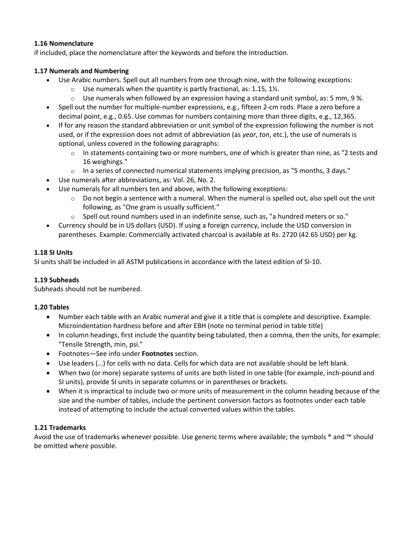#### **1.16 Nomenclature**

if included, place the nomenclature after the keywords and before the Introduction.

#### **1.17 Numerals and Numbering**

- Use Arabic numbers. Spell out all numbers from one through nine, with the following exceptions:
	- $\circ$  Use numerals when the quantity is partly fractional, as: 1.15, 1½.
	- $\circ$  Use numerals when followed by an expression having a standard unit symbol, as: 5 mm, 9 %.
- Spell out the number for multiple-number expressions, e.g., fifteen 2-cm rods. Place a zero before a decimal point, e.g., 0.65. Use commas for numbers containing more than three digits, e.g., 12,365.
- If for any reason the standard abbreviation or unit symbol of the expression following the number is not used, or if the expression does not admit of abbreviation (as *year*, *ton*, etc.), the use of numerals is optional, unless covered in the following paragraphs:
	- $\circ$  In statements containing two or more numbers, one of which is greater than nine, as "2 tests and 16 weighings."
	- $\circ$  In a series of connected numerical statements implying precision, as "5 months, 3 days."
- Use numerals after abbreviations, as: Vol. 26, No. 2.
- Use numerals for all numbers ten and above, with the following exceptions:
	- $\circ$  Do not begin a sentence with a numeral. When the numeral is spelled out, also spell out the unit following, as "One gram is usually sufficient."
	- $\circ$  Spell out round numbers used in an indefinite sense, such as, "a hundred meters or so."
- Currency should be in US dollars (USD). If using a foreign currency, include the USD conversion in parentheses. Example: Commercially activated charcoal is available at Rs. 2720 (42.65 USD) per kg.

#### **1.18 SI Units**

SI units shall be included in all ASTM publications in accordance with the latest edition of SI-10.

### **1.19 Subheads**

Subheads should not be numbered.

### **1.20 Tables**

- Number each table with an Arabic numeral and give it a title that is complete and descriptive. Example: Microindentation hardness before and after EBH (note no terminal period in table title)
- In column headings, first include the quantity being tabulated, then a comma, then the units, for example: "Tensile Strength, min, psi."
- Footnotes—See info under **Footnotes** section.
- Use leaders (…) for cells with no data. Cells for which data are not available should be left blank.
- When two (or more) separate systems of units are both listed in one table (for example, inch-pound and SI units), provide SI units in separate columns or in parentheses or brackets.
- When it is impractical to include two or more units of measurement in the column heading because of the size and the number of tables, include the pertinent conversion factors as footnotes under each table instead of attempting to include the actual converted values within the tables.

#### **1.21 Trademarks**

Avoid the use of trademarks whenever possible. Use generic terms where available; the symbols ® and ™ should be omitted where possible.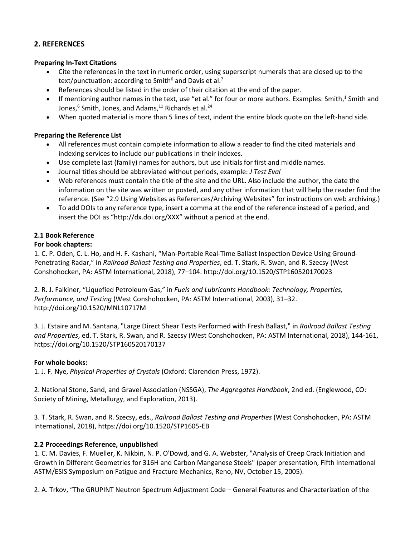### **2. REFERENCES**

#### **Preparing In-Text Citations**

- Cite the references in the text in numeric order, using superscript numerals that are closed up to the text/punctuation: according to Smith<sup>6</sup> and Davis et al.<sup>7</sup>
- References should be listed in the order of their citation at the end of the paper.
- If mentioning author names in the text, use "et al." for four or more authors. Examples: Smith,<sup>1</sup> Smith and Jones,<sup>6</sup> Smith, Jones, and Adams,<sup>11</sup> Richards et al.<sup>24</sup>
- When quoted material is more than 5 lines of text, indent the entire block quote on the left-hand side.

#### **Preparing the Reference List**

- All references must contain complete information to allow a reader to find the cited materials and indexing services to include our publications in their indexes.
- Use complete last (family) names for authors, but use initials for first and middle names.
- Journal titles should be abbreviated without periods, example: *J Test Eval*
- Web references must contain the title of the site and the URL. Also include the author, the date the information on the site was written or posted, and any other information that will help the reader find the reference. (See "2.9 Using Websites as References/Archiving Websites" for instructions on web archiving.)
- To add DOIs to any reference type, insert a comma at the end of the reference instead of a period, and insert the DOI as "http://dx.doi.org/XXX" without a period at the end.

### **2.1 Book Reference**

### **For book chapters:**

1. C. P. Oden, C. L. Ho, and H. F. Kashani, "Man-Portable Real-Time Ballast Inspection Device Using Ground-Penetrating Radar," in *Railroad Ballast Testing and Properties*, ed. T. Stark, R. Swan, and R. Szecsy (West Conshohocken, PA: ASTM International, 2018), 77–104. http://doi.org/10.1520/STP160520170023

2. R. J. Falkiner, "Liquefied Petroleum Gas," in *Fuels and Lubricants Handbook: Technology, Properties, Performance, and Testing* (West Conshohocken, PA: ASTM International, 2003), 31–32. http://doi.org/10.1520/MNL10717M

3. J. Estaire and M. Santana, "Large Direct Shear Tests Performed with Fresh Ballast," in *Railroad Ballast Testing and Properties*, ed. T. Stark, R. Swan, and R. Szecsy (West Conshohocken, PA: ASTM International, 2018), 144-161, https://doi.org/10.1520/STP160520170137

### **For whole books:**

1. J. F. Nye, *Physical Properties of Crystals* (Oxford: Clarendon Press, 1972).

2. National Stone, Sand, and Gravel Association (NSSGA), *The Aggregates Handbook*, 2nd ed. (Englewood, CO: Society of Mining, Metallurgy, and Exploration, 2013).

3. T. Stark, R. Swan, and R. Szecsy, eds., *Railroad Ballast Testing and Properties* (West Conshohocken, PA: ASTM International, 2018), https://doi.org/10.1520/STP1605-EB

### **2.2 Proceedings Reference, unpublished**

1. C. M. Davies, F. Mueller, K. Nikbin, N. P. O'Dowd, and G. A. Webster, "Analysis of Creep Crack Initiation and Growth in Different Geometries for 316H and Carbon Manganese Steels" (paper presentation, Fifth International ASTM/ESIS Symposium on Fatigue and Fracture Mechanics, Reno, NV, October 15, 2005).

2. A. Trkov, "The GRUPINT Neutron Spectrum Adjustment Code – General Features and Characterization of the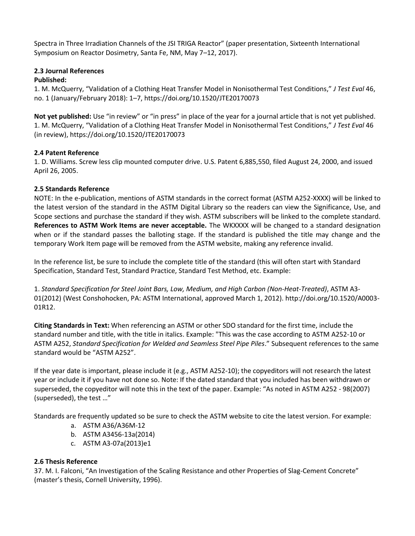Spectra in Three Irradiation Channels of the JSI TRIGA Reactor" (paper presentation, Sixteenth International Symposium on Reactor Dosimetry, Santa Fe, NM, May 7–12, 2017).

## **2.3 Journal References**

### **Published:**

1. M. McQuerry, "Validation of a Clothing Heat Transfer Model in Nonisothermal Test Conditions," *J Test Eval* 46, no. 1 (January/February 2018): 1–7, https://doi.org/10.1520/JTE20170073

**Not yet published:** Use "in review" or "in press" in place of the year for a journal article that is not yet published. 1. M. McQuerry, "Validation of a Clothing Heat Transfer Model in Nonisothermal Test Conditions," *J Test Eval* 46 (in review), https://doi.org/10.1520/JTE20170073

## **2.4 Patent Reference**

1. D. Williams. Screw less clip mounted computer drive. U.S. Patent 6,885,550, filed August 24, 2000, and issued April 26, 2005.

## **2.5 Standards Reference**

NOTE: In the e-publication, mentions of ASTM standards in the correct format (ASTM A252-XXXX) will be linked to the latest version of the standard in the ASTM Digital Library so the readers can view the Significance, Use, and Scope sections and purchase the standard if they wish. ASTM subscribers will be linked to the complete standard. **References to ASTM Work Items are never acceptable.** The WKXXXX will be changed to a standard designation when or if the standard passes the balloting stage. If the standard is published the title may change and the temporary Work Item page will be removed from the ASTM website, making any reference invalid.

In the reference list, be sure to include the complete title of the standard (this will often start with Standard Specification, Standard Test, Standard Practice, Standard Test Method, etc. Example:

1. *Standard Specification for Steel Joint Bars, Low, Medium, and High Carbon (Non-Heat-Treated)*, ASTM A3- 01(2012) (West Conshohocken, PA: ASTM International, approved March 1, 2012). http://doi.org/10.1520/A0003- 01R12.

**Citing Standards in Text:** When referencing an ASTM or other SDO standard for the first time, include the standard number and title, with the title in italics. Example: "This was the case according to ASTM A252-10 or ASTM A252, *Standard Specification for Welded and Seamless Steel Pipe Piles*." Subsequent references to the same standard would be "ASTM A252".

If the year date is important, please include it (e.g., ASTM A252-10); the copyeditors will not research the latest year or include it if you have not done so. Note: If the dated standard that you included has been withdrawn or superseded, the copyeditor will note this in the text of the paper. Example: "As noted in ASTM A252 - 98(2007) (superseded), the test …"

Standards are frequently updated so be sure to check the ASTM website to cite the latest version. For example:

- a. ASTM A36/A36M-12
- b. ASTM A3456-13a(2014)
- c. ASTM A3-07a(2013)e1

## **2.6 Thesis Reference**

37. M. I. Falconi, "An Investigation of the Scaling Resistance and other Properties of Slag-Cement Concrete" (master's thesis, Cornell University, 1996).